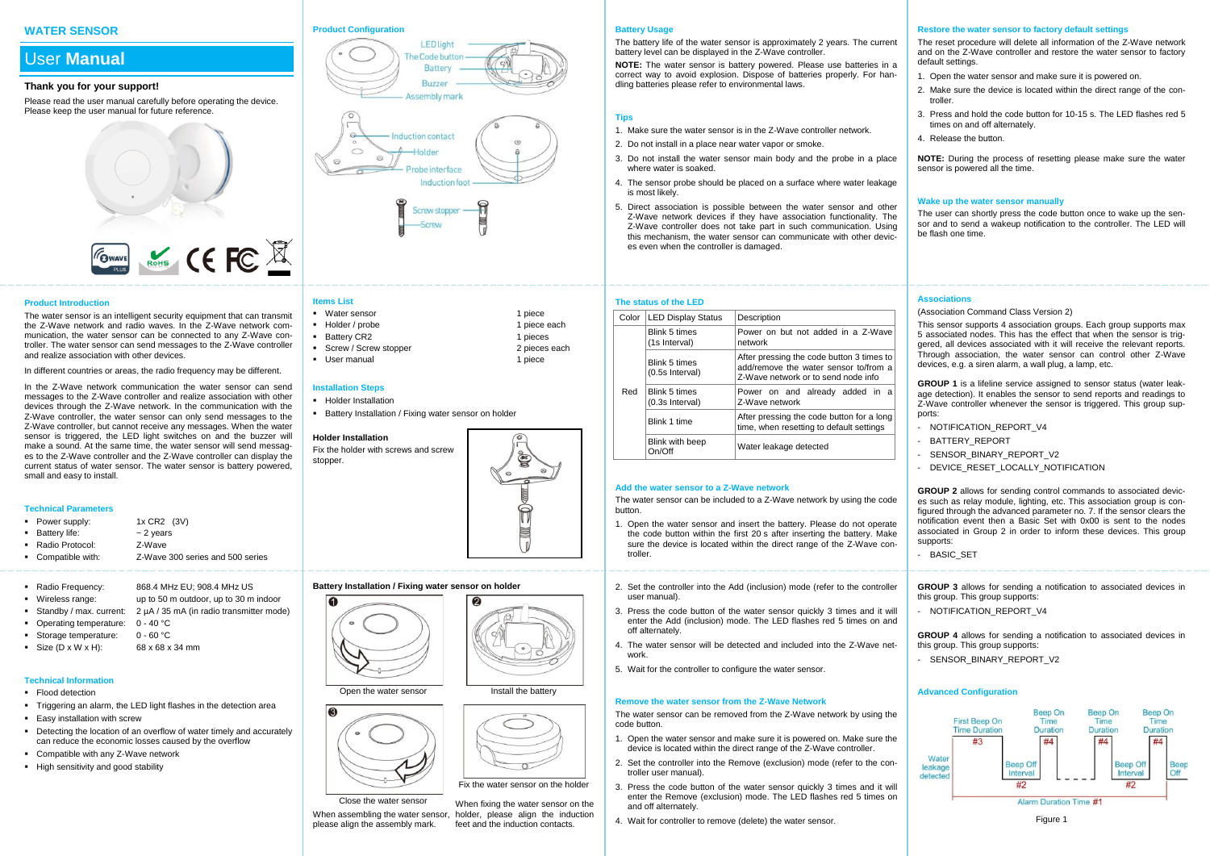# **WATER SENSOR**

# User **Manual**

#### **Thank you for your support!**

Please read the user manual carefully before operating the device. Please keep the user manual for future reference.

# **FOWAVE** ROMS CE FC X

#### **Product Introduction**

The water sensor is an intelligent security equipment that can transmit the Z-Wave network and radio waves. In the Z-Wave network communication, the water sensor can be connected to any Z-Wave controller. The water sensor can send messages to the Z-Wave controller and realize association with other devices.

In different countries or areas, the radio frequency may be different.

In the Z-Wave network communication the water sensor can send messages to the Z-Wave controller and realize association with other devices through the Z-Wave network. In the communication with the Z-Wave controller, the water sensor can only send messages to the Z-Wave controller, but cannot receive any messages. When the water sensor is triggered, the LED light switches on and the buzzer will make a sound. At the same time, the water sensor will send messages to the Z-Wave controller and the Z-Wave controller can display the current status of water sensor. The water sensor is battery powered, small and easy to install.

#### **Technical Parameters**

- Power supply:  $1x$  CR2 (3V) ■ Battery life:  $\sim$  2 years
- Radio Protocol: Z-Wave
- Compatible with: Z-Wave 300 series and 500 series
- 
- Radio Frequency: 868.4 MHz EU; 908.4 MHz US
- Wireless range: up to 50 m outdoor, up to 30 m indoor
- Standby / max. current: 2 µA / 35 mA (in radio transmitter mode)
- Operating temperature: 0 40 °C
- Storage temperature: 0 60 °C
- Size  $(D \times W \times H)$ : 68 x 68 x 34 mm

# **Technical Information**

- Flood detection
- Triggering an alarm, the LED light flashes in the detection area
- **Easy installation with screw**
- Detecting the location of an overflow of water timely and accurately can reduce the economic losses caused by the overflow
- Compatible with any Z-Wave network
- High sensitivity and good stability

# **Product Configuration**







# **Items List**

- Nater sensor 1 piece<br>
1 piece each<br>
1 piece each<br>
1 piece each
- $-Holder / probe$
- Battery CR2 1 pieces<br>■ Screw / Screw stopper 2 pieces each **Screw / Screw stopper**
- User manual 1 piece

#### **Installation Steps**

**Holder Installation** 

G

 $\bullet$ 

**Battery Installation / Fixing water sensor on holder** 



# **Battery Installation / Fixing water sensor on holder**





Close the water sensor When assembling the water sensor, holder, please align the induction please align the assembly mark. When fixing the water sensor on the feet and the induction contacts.

#### **Battery Usage**

**The status of the LED**

Blink 5 times (1s Interval)

Blink 5 times (0.5s Interval)

Blink 5 times (0.3s Interval)

Blink with beep

**Add the water sensor to a Z-Wave network**

Red

button.

troller.

user manual).

off alternately.

work.

code button.

troller user manual).

and off alternately.

Color LED Display Status Description

The battery life of the water sensor is approximately 2 years. The current battery level can be displayed in the Z-Wave controller.

**NOTE:** The water sensor is battery powered. Please use batteries in a correct way to avoid explosion. Dispose of batteries properly. For handling batteries please refer to environmental laws.

# **Tips**

- 1. Make sure the water sensor is in the Z-Wave controller network.
- 2. Do not install in a place near water vapor or smoke.
- 3. Do not install the water sensor main body and the probe in a place where water is soaked.
- 4. The sensor probe should be placed on a surface where water leakage is most likely.
- 5. Direct association is possible between the water sensor and other Z-Wave network devices if they have association functionality. The Z-Wave controller does not take part in such communication. Using this mechanism, the water sensor can communicate with other devices even when the controller is damaged.

network

Z-Wave network Blink 1 time After pressing the code button for a long

The water sensor can be included to a Z-Wave network by using the code

1. Open the water sensor and insert the battery. Please do not operate the code button within the first 20 s after inserting the battery. Make sure the device is located within the direct range of the Z-Wave con-

2. Set the controller into the Add (inclusion) mode (refer to the controller

3. Press the code button of the water sensor quickly 3 times and it will enter the Add (inclusion) mode. The LED flashes red 5 times on and

4. The water sensor will be detected and included into the Z-Wave net-

The water sensor can be removed from the Z-Wave network by using the

1. Open the water sensor and make sure it is powered on. Make sure the device is located within the direct range of the Z-Wave controller. 2. Set the controller into the Remove (exclusion) mode (refer to the con-

3. Press the code button of the water sensor quickly 3 times and it will enter the Remove (exclusion) mode. The LED flashes red 5 times on

5. Wait for the controller to configure the water sensor.

**Remove the water sensor from the Z-Wave Network**

4. Wait for controller to remove (delete) the water sensor.

Water leakage detected

Power on but not added in a Z-Wave

After pressing the code button 3 times to add/remove the water sensor to/from a Z-Wave network or to send node info

Power on and already added in a

time, when resetting to default settings

#### **Restore the water sensor to factory default settings**

The reset procedure will delete all information of the Z-Wave network and on the Z-Wave controller and restore the water sensor to factory default settings.

- 1. Open the water sensor and make sure it is powered on.
- 2. Make sure the device is located within the direct range of the controller.
- 3. Press and hold the code button for 10-15 s. The LED flashes red 5 times on and off alternately.
- 4. Release the button.

**NOTE:** During the process of resetting please make sure the water sensor is powered all the time.

#### **Wake up the water sensor manually**

The user can shortly press the code button once to wake up the sensor and to send a wakeup notification to the controller. The LED will be flash one time.

#### **Associations**

#### (Association Command Class Version 2)

This sensor supports 4 association groups. Each group supports max 5 associated nodes. This has the effect that when the sensor is triggered, all devices associated with it will receive the relevant reports. Through association, the water sensor can control other Z-Wave devices, e.g. a siren alarm, a wall plug, a lamp, etc.

**GROUP 1** is a lifeline service assigned to sensor status (water leakage detection). It enables the sensor to send reports and readings to Z-Wave controller whenever the sensor is triggered. This group supports:

- NOTIFICATION REPORT V4
- BATTERY\_REPORT
- SENSOR\_BINARY\_REPORT\_V2
- DEVICE RESET LOCALLY NOTIFICATION

**GROUP 2** allows for sending control commands to associated devices such as relay module, lighting, etc. This association group is configured through the advanced parameter no. 7. If the sensor clears the notification event then a Basic Set with 0x00 is sent to the nodes associated in Group 2 in order to inform these devices. This group supports:

- BASIC SET

**GROUP 3** allows for sending a notification to associated devices in this group. This group supports:

- NOTIFICATION\_REPORT\_V4

**GROUP 4** allows for sending a notification to associated devices in this group. This group supports:

- SENSOR\_BINARY\_REPORT\_V2

# **Advanced Configuration**



Figure 1